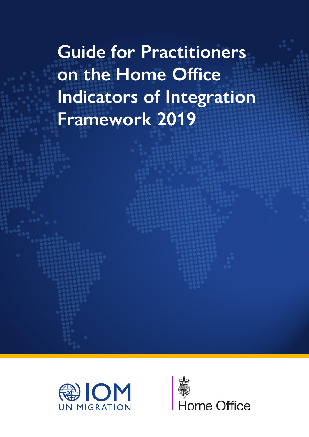**Guide for Practitioners**  on the Home Office **Indicators of Integration Framework 2019**



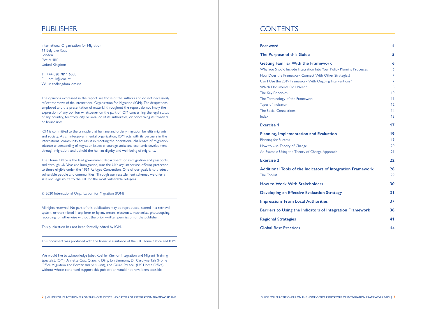# PUBLISHER CONTENTS

## **[Foreword](#page-2-0) 4**

## **[The Purpose of this Guide](#page-2-0)**

## **[Getting Familiar With the Framework](#page-3-0) 6**

Why You Should Include Integration Into Your How Does the Framework Connect With Other Can I Use the 2019 Framework With Ongoing [Which Documents Do I Need?](#page-4-0) [The Key Principles](#page-5-0) [The Terminology of the Framework](#page-5-0) [Types of Indicator](#page-6-0) [The Social Connections](#page-7-0) [Index](#page-7-0) 2008 and 2009 and 2009 and 2009 and 2009 and 2009 and 2009 and 2009 and 2009 and 2009 and 2009 and 2009  $\pm$ 

## **[Exercise 1](#page-8-0)**

## **Planning, Implementation and Evaluat** [Planning for Success](#page-9-0) [How to Use Theory of Change](#page-10-0) An Example Using the Theory of Change Appro

## **[Exercise 2](#page-11-0)**

**Additional Tools of the Indicators of I** [The Toolkit](#page-14-0) 29

**[How to Work With Stakeholders](#page-15-0)** 

**[Developing an Effective Evaluation Strategy](#page-15-0)** 

**[Impressions From Local Authorities](#page-18-0) 37**

**Barriers to Using the Indicators of Integration** 

**[Regional Strategies](#page-20-0)** 

**[Global Best Practices](#page-22-0) 44**

International Organization for Migration 11 Belgrave Road London SW1V 1RB United Kingdom

T: +44 020 7811 6000 E: iomuk@iom.int W: unitedkingdom.iom.int

The opinions expressed in the report are those of the authors and do not necessarily reflect the views of the International Organization for Migration (IOM). The designations employed and the presentation of material throughout the report do not imply the expression of any opinion whatsoever on the part of IOM concerning the legal status of any country, territory, city or area, or of its authorities, or concerning its frontiers or boundaries.

IOM is committed to the principle that humane and orderly migration benefits migrants and society. As an intergovernmental organization, IOM acts with its partners in the international community to: assist in meeting the operational challenges of migration; advance understanding of migration issues; encourage social and economic development through migration; and uphold the human dignity and well-being of migrants.

The Home Office is the lead government department for immigration and passports, and, through UK Visas and Immigration, runs the UK's asylum service, offering protection to those eligible under the 1951 Refugee Convention. One of our goals is to protect vulnerable people and communities. Through our resettlement schemes we offer a safe and legal route to the UK for the most vulnerable refugees.

© 2020 International Organization for Migration (IOM)

All rights reserved. No part of this publication may be reproduced, stored in a retrieval system, or transmitted in any form or by any means, electronic, mechanical, photocopying, recording, or otherwise without the prior written permission of the publisher.

This publication has not been formally edited by IOM.

This document was produced with the financial assistance of the UK Home Office and IOM.

We would like to acknowledge Jobst Koehler (Senior Integration and Migrant Training Specialist, IOM), Annette Cox, Qiaochu Ding, Jon Simmons, Dr Carolyne Tah (Home Office Migration and Border Analysis Unit), and Gillian Preece (UK Home Office) without whose continued support this publication would not have been possible.

|                                  | 4              |
|----------------------------------|----------------|
|                                  | 5              |
| ¢                                | 6              |
| <b>Policy Planning Processes</b> | 6              |
| er Strategies?                   | $\overline{7}$ |
| Interventions?                   | $\overline{7}$ |
|                                  | 8              |
|                                  | 10             |
|                                  | 11             |
|                                  | 12             |
|                                  | 14             |
|                                  | 15             |
|                                  | 17             |
| ion:                             | 19             |
|                                  | 19             |
|                                  | 20             |
| oach                             | 21             |
|                                  | 22             |
| <b>Integration Framework</b>     | 28             |
|                                  | 29             |
|                                  | 30             |
| rategy                           | 31             |
|                                  | 37             |
| tegration Framework              | 38             |
|                                  | 41             |
|                                  | 44             |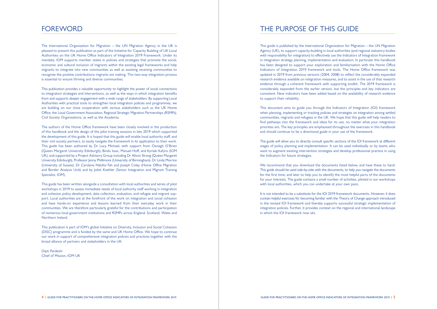# <span id="page-2-0"></span>FOREWORD

The International Organization for Migration – the UN Migration Agency in the UK is pleased to present this publication as part of the Initiative for Capacity Building of UK Local Authorities on the UK Home Office Indicators of Integration 2019 Framework. Under its mandate, IOM supports member states in policies and strategies that promote the social, economic and cultural inclusion of migrants within the existing legal frameworks and help migrants to integrate into new communities as well as assisting receiving communities to recognize the positive contributions migrants are making. This two-way integration process is essential to ensure thriving and diverse communities.

This publication provides a valuable opportunity to highlight the power of social connections to integration strategies and interventions, as well as the ways in which integration benefits from and supports deeper engagement with a wide range of stakeholders. By supporting Local Authorities with practical tools to strengthen local integration policies and programmes, we are building on our close cooperation with various stakeholders such as the UK Home Office, the Local Government Association, Regional Strategic Migration Partnerships (RSMPs), Civil Society Organisations, as well as the Academia.

The authors of the Home Office framework have been closely involved in the production of this handbook and the design of the pilot training sessions in late 2019 which supported the development of this guide. It is hoped that this guide will enable local authority staff, and their civil society partners, to easily navigate the framework in its application to their work. This guide has been authored by Dr Lucy Michael, with support from Oonagh O'Brien (Queen Margaret University Edinburgh), Bindu Issac, Manuel Hoff, and Kyriaki Kafyra (IOM UK), and supported by a Project Advisory Group including Dr Alison Strang (Queen Margaret University Edinburgh), Professor Jenny Phillimore (University of Birmingham), Dr Linda Morrice (University of Sussex), Dr Carolyne Ndofor-Tah and Joseph Coley (Home Office Migration and Border Analysis Unit) and by Jobst Koehler (Senior Integration and Migrant Training Specialist, IOM).

This guide has been written alongside a consultation with local authorities and series of pilot workshops in 2019 to assess immediate needs of local authority staff working in integration and cohesion policy development, data collection, evaluation, and refugee and migrant support. Local authorities are at the forefront of the work on integration and social cohesion and have hands-on experience and lessons learned from their everyday work in their communities. We are therefore particularly grateful for the contributions and participation of numerous local government institutions and RSMPs across England, Scotland, Wales and Northern Ireland.

It is not intended to be a substitute for the IOI 2019 framework documents. However, it does contain helpful exercises for becoming familiar with the Theory of Change approach introduced in the revised IOI framework and thereby supports successful strategic implementation of integration policies. Further, it provides context on the regional and international landscape in which the IOI framework now sits.

This publication is part of IOM's global Initiative on Diversity, Inclusion and Social Cohesion (DISC) programme and is funded by the same and UK Home Office. We hope to continue our work in support of comprehensive integration policies and practices together with the broad alliance of partners and stakeholders in the UK.

Dipti Pardeshi Chief of Mission, IOM UK

# THE PURPOSE OF THIS GUIDE

This guide is published by the International Organization for Migration – the UN Migration Agency (UK), to support capacity-building in local authorities (and regional statutory bodies with responsibility for integration) to effectively use the Indicators of Integration framework in integration strategy planning, implementation and evaluation. In particular this handbook has been designed to support your exploration and familiarisation with the Home Office Indicators of Integration 2019 framework and tools. The Home Office framework was updated in 2019 from previous versions (2004, 2008) to reflect the considerably expanded research evidence available on integration measures, and to assist in the use of that research evidence through a coherent framework with supporting toolkit. The 2019 framework is considerably expanded from the earlier version, but the principles and key indicators are consistent. New indicators have been added based on the availability of research evidence to support their reliability.

This document aims to guide you through the Indicators of Integration (IOI) framework when planning, implementing or tracking policies and strategies on integration among settled communities, migrants and refugees in the UK. We hope that this guide will help readers to find pathways into the framework and ideas for its use, no matter what your integration priorities are. The key principles are emphasised throughout the exercises in this handbook and should continue to be a directional guide in your use of the framework.

The guide will allow you to directly consult specific sections of the IOI framework at different stages of policy planning and implementation. It can be used individually or by teams who want to augment existing intervention strategies and develop professional practice in using the Indicators for future strategies.

We recommend that you download the documents listed below, and have these to hand. This guide should be used side-by-side with the documents, to help you navigate the documents for the first time, and later to help you to identify the most helpful parts of the documents for your interests. The guide contains a small number of activities, piloted in our workshops with local authorities, which you can undertake at your own pace.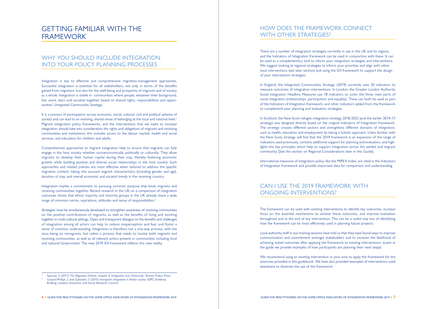<sup>1</sup> Spencer, S (2011) *The Migration Debate*, chapter 6 *'Integration and Citizenship'*. Bristol: Policy Press.

<sup>2</sup> Lessard-Philips, L and Galandini, S (2015) *Immigrant integration in British society*. ESRC Evidence Briefing. London: Economic and Social Research Council.

## WHY YOU SHOULD INCLUDE INTEGRATION INTO YOUR POLICY PLANNING PROCESSES

# <span id="page-3-0"></span>GETTING FAMILIAR WITH THE FRAMEWORK

Integration is key to effective and comprehensive migration-management approaches. Successful integration is essential for all stakeholders, not only in terms of the benefits gained from migration, but also for the well-being and prosperity of migrants and of society as a whole. Integration is visible in communities where people, whatever their background, live, work, learn and socialise together, based on shared rights, responsibilities and opportunities' *(Integrated Communities Strategy)*.

It is a process of participation across economic, social, cultural, civil and political spheres of society and can lead to an evolving, shared sense of belonging at the local and national level.<sup>1</sup> Migrant integration policy frameworks, and the interventions that we make to increase integration, should take into consideration the rights and obligations of migrants and receiving communities and institutions; this includes access to the labour market, health and social services, and education for children and adults.

## HOW DOES THE FRAMEWORK CONNECT WITH OTHER STRATEGIES?

Comprehensive approaches to migrant integration help to ensure that migrants can fully engage in the host society whether socioeconomically, politically or culturally. They allow migrants to develop their human capital during their stay, thereby fostering economic growth while building positive and diverse social relationships in the host society. Such approaches and related policies are most effective when tailored to address the specific migration context, taking into account migrant characteristics (including gender and age), duration of stay, and overall economic and societal trends in the receiving country.

Integration implies a commitment to pursuing common purpose that binds migrants and receiving communities together. Recent research in the UK on a comparison of integration outcomes shows that ethnic majority and minority groups in the UK already share a wide range of common norms, aspirations, attitudes and sense of responsibilities.<sup>2</sup>

In England, the Integrated Communities Strategy (2019) currently uses 20 indicators to measure outcomes of integration interventions. In London, the Greater London Authority Social Integration Headline Measures use 18 indicators to cover the three main parts of social integration (relationships, participation and equality). These can both be used as part of the Indicators of Integration framework, and other indicators added from the framework to complement your planning and evaluation strategies.

In Scotland, the New Scots refugee integration strategy 2018-2022 (and the earlier 2014-17 strategy) was designed directly based on the original Indicators of Integration framework. The strategy crosses different sectors and strengthens different domains of integration, such as health, education and employment by taking a holistic approach. Users familiar with the New Scots strategy will find that the 2019 framework is an expansion of the range of indicators used previously, contains additional support for planning and evaluation, and highlights the key principles which help to support integration across the settled and migrant community. [See the section on Regional Considerations later in this Guide]

Strategies must be simultaneously developed to strengthen awareness of receiving communities on the positive contributions of migrants, as well as the benefits of living and working together in multi-cultural settings. Open and transparent dialogue on the benefits and challenges of integration among all actors can help to reduce misperception and fear, and foster a sense of common understanding. Integration is therefore not a one-way process, with the onus being on immigrants, but rather a process that needs to involve both migrants and receiving communities, as well as all relevant actors present in communities including local and national Government. The new 2019 IOI framework reflects this new reality.

There are a number of integration strategies currently in use in the UK and its regions, and the Indicators of Integration framework can be used in conjunction with these. It can be used as a complementary tool to inform your integration strategies and interventions. We suggest looking at regional strategies to inform your priorities and align with other local interventions (see later section) and using the IOI framework to support the design of your intervention strategies.

International measures of integration policy, like the MIPEX Index, are cited in the Indicators of Integration framework and provide important data for comparison and understanding.

## CAN I USE THE 2019 FRAMEWORK WITH ONGOING INTERVENTIONS?

The framework can be used with existing interventions to identify key outcomes, increase focus on the essential mechanisms to achieve those outcomes, and improve evaluation throughout and at the end of any intervention. This can be a useful way too of identifying how the framework can be most effectively used in planning future projects.

Local authority staff in our training sessions have told us that they have found ways to improve communication and commitment amongst stakeholders and to increase the likelihood of achieving stated outcomes after applying the framework to existing interventions. (Later in the guide we provide examples of how participants are planning their next steps).

We recommend using an existing intervention in your area to apply the framework for the exercises provided in this guidebook. We have also provided examples of interventions used elsewhere to illustrate the use of the framework.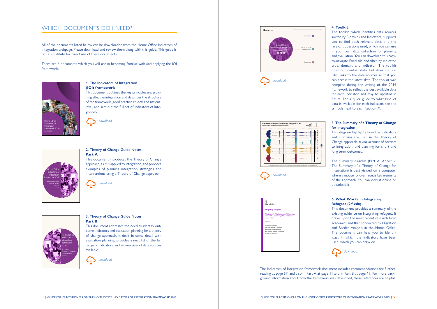## <span id="page-4-0"></span>WHICH DOCUMENTS DO I NEED?

All of the documents listed below can be downloaded from the Home Office Indicators of Integration webpage. Please download and review them along with this guide. This guide is not a substitute for direct use of these documents.

There are 6 documents which you will use in becoming familiar with and applying the IOI framework.

## **1. The Indicators of Integration (IOI) framework**

This document outlines the key principles underpinning effective integration and describes the structure of the framework, good practice at local and national level, and sets out the full set of Indicators of Integration.

## **2. Theory of Change Guide Notes Part A**

くり *[download](https://assets.publishing.service.gov.uk/government/uploads/system/uploads/attachment_data/file/835573/home-office-indicators-of-integration-framework-2019-horr109.pdf)*

This document introduces the Theory of Change approach, as it is applied to integration, and provides examples of planning integration strategies and interventions using a Theory of Change approach.

## **3. Theory of Change Guide Notes Part B**

This document addresses the need to identify outcome indicators and evaluation planning for a theory of change approach. It deals in some detail with evaluation planning, provides a neat list of the full range of Indicators, and an overview of data sources available.









*[download](https://assets.publishing.service.gov.uk/government/uploads/system/uploads/attachment_data/file/805873/home-office-indicators-of-integration-framework-2019-theory-of-change-guide-notes-partb.pdf)*

## **4. Toolkit**

The toolkit, which identifies data sources sorted by Domains and Indicators, supports you to find both relevant data, and the relevant questions used, which you can use in your own data collection for planning and evaluation. You can download this easyto-navigate Excel file and filter by indicator type, domain, and indicator. The toolkit does not contain data, but does contain URL links to the data sources so that you can access the latest data. The toolkit was compiled during the writing of the 2019 framework to reflect the best available data for each indicator, and may be updated in future. For a quick guide to what kind of data is available for each indicator, see the symbols next to each (section 7).

## **5. The Summary of a Theory of Change for Integration**

This diagram highlights how the Indicators and Domains are used in the Theory of Change approach, taking account of barriers to integration, and planning for short and long term outcomes.

The summary diagram (Part A, Annex 2: The Summary of a Theory of Change for Integration) is best viewed on a computer where a mouse rollover reveals key elements of the approach. You can view it online or download it.

## **6. What Works in Integrating Refugees (2nd edn)**

This document provides a summary of the existing evidence on integrating refugees. It draws upon the most recent research from academics and that conducted by Migration and Border Analysis in the Home Office. The document can help you to identify ways in which the indicators have been used, which you can draw on.

The Indicators of Integration framework document includes recommendations for further reading at page 57, and also in Part A at page 11 and in Part B at page 19. For more background information about how the framework was developed, these references are helpful.











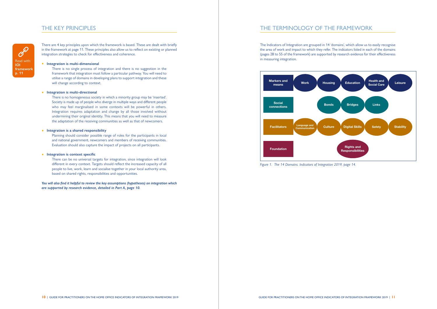## THE KEY PRINCIPLES

There are 4 key principles upon which the framework is based. These are dealt with briefly in the framework at page 11. These principles also allow us to reflect on existing or planned integration strategies to check for effectiveness and coherence.

#### **• Integration is multi-dimensional**

There is no single process of integration and there is no suggestion in the framework that integration must follow a particular pathway. You will need to utilise a range of domains in developing plans to support integration and these will change according to context.

#### **• Integration is multi-directional**

There is no homogeneous society in which a minority group may be 'inserted'. Society is made up of people who diverge in multiple ways and different people who may feel marginalised in some contexts will be powerful in others. Integration requires adaptation and change by all those involved without undermining their original identity. This means that you will need to measure the adaptation of the receiving communities as well as that of newcomers.

The Indicators of Integration are grouped in 14 'domains', which allow us to easily recognise the area of work and impact to which they refer. The indicators listed in each of the domains (pages 28 to 55 of the framework) are supported by research evidence for their effectiveness the new arrivals, because they refugees, other who are new to the community. The community who are new to the community of  $\alpha$ ie Indicators of Integration are grouped in 14 'domains', which allow us to easily recognise

### **• Integration is a shared responsibility**

Planning should consider possible range of roles for the participants in local and national government, newcomers and members of receiving communities. Evaluation should also capture the impact of projects on all participants.

#### **• Integration is context specific**

There can be no universal targets for integration, since integration will look different in every context. Targets should reflect the increased capacity of all people to live, work, learn and socialise together in your local authority area, based on shared rights, responsibilities and opportunities.

*You will also find it helpful to review the key assumptions (hypotheses) on integration which are supported by research evidence, detailed in Part A, page 10.* 

# THE TERMINOLOGY OF THE FRAMEWORK **is a computer framework**

<span id="page-5-0"></span>



*Figure 1. The 14 Domains. Indicators of Integration 2019, page 14.*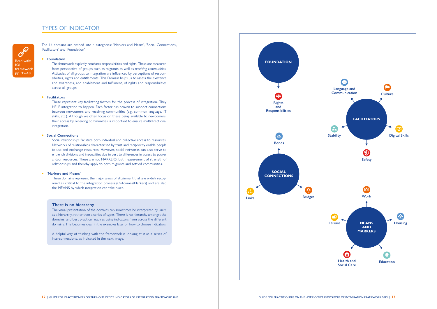## TYPES OF INDICATOR

The 14 domains are divided into 4 categories: 'Markers and Means', 'Social Connections', 'Facilitators' and 'Foundation'.

## **• Foundation**

The framework explicitly combines responsibilities and rights. These are measured from perspective of groups such as migrants as well as *receiving communities*. Attitudes of all groups to integration are influenced by perceptions of responsibilities, rights and entitlements. This Domain helps us to assess the existence and awareness, and enablement and fulfilment, of rights and responsibilities across all groups.

#### **• Facilitators**

These represent key facilitating factors for the process of integration. They HELP integration to happen. Each factor has proven to support connections between newcomers and receiving communities (e.g. common language, IT skills, etc.). Although we often focus on these being available to newcomers, their access by receiving communities is important to ensure multidirectional integration.

## **• Social Connections**

Social relationships facilitate both individual and collective access to resources. Networks of relationships characterised by trust and reciprocity enable people to use and exchange resources. However, social networks can also serve to entrench divisions and inequalities due in part to differences in access to power and/or resources. These are not MARKERS, but measurement of strength of relationships and thereby apply to both migrants and settled communities.

## **• 'Markers and Means'**

These domains represent the major areas of attainment that are widely recognised as critical to the integration process (Outcomes/Markers) and are also the MEANS by which integration can take place.

#### **There is no hierarchy**

The visual presentation of the domains can sometimes be interpreted by users as a hierarchy, rather than a series of types. There is no hierarchy amongst the domains, and best practice requires using indicators from across the different domains. This becomes clear in the examples later on how to choose indicators.

A helpful way of thinking with the framework is looking at it as a series of interconnections, as indicated in the next image.

<span id="page-6-0"></span>

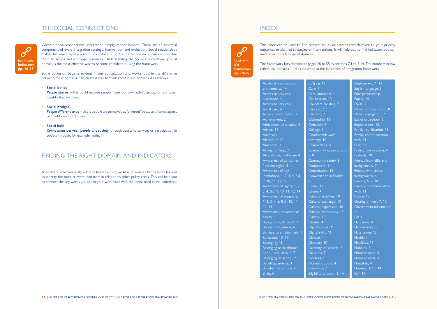## THE SOCIAL CONNECTIONS

Without social connections, integration simply cannot happen. These are an essential component of every integration strategy, intervention and evaluation. Social relationships matter because they are a form of capital and contribute to resilience –we can mobilise them to access and exchange resources. Understanding the Social Connections type of domain is the most effective way to become confident in using the framework.

**People like us** – this could include people from our own ethnic group, or any other identity that we share.

Some confusion became evident in our consultation and workshops, in the difference between these domains. The clearest way to think about these domains is as follows:

## **• Social bonds**

## **• Social bridges**

*People different to us* – this is people we perceived as 'different' because of some aspect of identity we don't share.

### **• Social links**

*Connections between people and society*, through access to services or participation in society through, for example, voting.

## FINDING THE RIGHT DOMAIN AND INDICATORS

To facilitate your familiarity with the Indicators list, we have provided a handy index for you to identify the most relevant indicators in relation to other policy areas. This will help you to connect the key words you use in your workplace with the terms used in the Indicators.

<span id="page-7-0"></span>

## INDEX

This index can be used to find relevant issues or activities which relate to your priority outcomes or planned strategies or interventions. It will help you to find indicators you can use across the full range of domains.

The framework lists domains at pages 28 to 55 as sections 7.1 to 7.14. The numbers below reflect the domains 1-14 as indicated in the Indicators of Integration framework.

Access to services and entitlements, 14 Access to services, healthcare, 4 Access to services, social care, 4 Access, to education, 2 Achievement, 2 Admissions to hospital, 4 Advice, 14 Advocacy, 4 Alcohol, 4, 10 Amenities, 3 Asking for help, 7 Attendance, healthcare 4 Awareness of consumer / patient rights, 8 Awareness of key institutions, 1, 2, 3, 4, 5,8, 9, 10, 11, 12, 14 Awareness of rights, 1, 2, 3, 4, 5,8, 9, 10, 11, 12, 14 Awareness of supports, 1, 2, 3, 4, 5, 8, 9, 10, 11, 12, 14 Awareness, preventative health, 4 Background, different, 7 Background, similar, 6 Barriers to employment, 1 Behaviour, 10, 14 Belonging, 13 Belonging to neighbourhood / local area, 6, 7 Belonging, at school, 2 Benefit payments, 3 Benefits, social care, 4 Birth, 4

Bullying, 12 Care, 4

Care, antenatal, 4 Celebration, 10 Childcare facilities, 7

Children, 12 Children, 2 Citizenship, 13 Cohesion, 7 College, 2

diversity, 10

Comfortable with

Committees, 8 Community organisation,

6, 8

Community safety, 3 Computers, 11 Consultation, 14 Conversation in English,

9

Crime, 12 Crime, 4

Cultural activities, 10 Cultural exchange, 10 Cultural expression, 10 Cultural institutions, 10

Culture, 10 Dentist, 4

Digital access, 11 Digital skills, 11

Disease, 4 Diversity, 10

Diversity, of schools, 2

Divisions, 7 Doctors, 4

Domestic abuse, 4

Education, 2

Eligibility to work, 1, 14

Employment, 1, 13 English language, 9 Entrepreneurship, 1 Equity, 14 ESOL, 9 Ethnic representation, 8 Ethnic segregation, 7 Exclusion, school, 2 Expectations, 10, 14 Family reunification, 13 Family, communication with, 11 Fear, 12 Feeling safe / secure, 4 Festivals, 10 Friends from different backgrounds, 7 Friends with similar backgrounds, 6 Friends, 6, 7, 10 Friends, communication with, 11 Future, 13 Getting on well, 7, 10 Government information, 11 GP, 4 Happiness, 4 Harassment, 12 Hate crime, 12 Health, 4 Helplines, 11 Hobbies, 5 Homelessness, 3 Homelessness, 4 Hospitals, 4 Housing, 3, 13, 14 ICT, 11

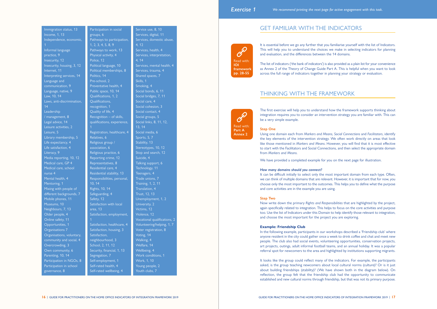<span id="page-8-0"></span>

| Immigration status, 13     | Participation in social     |
|----------------------------|-----------------------------|
| Income, 1, 13              | groups, 6                   |
| Independence, economic,    | Pathways to participation,  |
| 1                          | 1, 2, 3, 4, 5, 8, 9         |
| Informal language          | Pathways to work, 13        |
| practice, 9                | Physical activity, 4        |
| Insecurity, 12             | Police, 12                  |
| Insecurity, housing, 3, 12 | Political language, 10      |
| Internet, 11               | Political memberships, 8    |
| Interpreting services, 14  | Politics, 14                |
| Language and               | Pre-school, 2               |
| communication, 9           | Preventative health, 4      |
| Language, native, 9        | Public space, 10, 14        |
| Law, 10, 14                | Qualifications, 1, 2        |
| Laws, anti-discrimination, | Qualifications,             |
| 14                         | recognition, 1              |
| Leadership                 | Quality of life, 4          |
| / management, 8            | Recognition - of skills,    |
| Legal advice, 14           | qualifications, experience, |
| Leisure activities, 2      | 1                           |
| Leisure, 5                 | Registration, healthcare, 4 |
| Library membership, 5      | Relatives, 6                |
| Life expectancy, 4         | Religious group /           |
| Life satisfaction, 4       | association, 6              |
| Literacy, 9                | Religious practice, 6       |
| Media reporting, 10, 12    | Reporting crime, 12         |
| Medical care, GP 4         | Representatives, 8          |
| Medical care, school       | Residential care, 4         |
| nurse 4                    | Residential stability, 13   |
| Mental health, 4           | Responsibilities, personal, |
| Mentoring, 1               | 10, 14                      |
| Mixing with people of      | Rights, 10, 14              |
| different backgrounds, 7   | Safeguarding, 4             |
| Mobile phones, 11          | Safety, 12                  |
| Museums, 10                | Satisfaction with local     |
| Neighbours, 7, 13          | area, 13                    |
| Older people, 4            | Satisfaction, employment,   |
| Online safety, 11          |                             |
| Opportunities, 1           | Satisfaction, healthcare, 4 |
| Organisations 7            | Satisfaction, housing, 3    |
| Organisations, voluntary,  | Satisfaction,               |
| community and social, 4    | neighbourhood, 3            |
| Overcrowding, 3            | School, 2, 11, 12           |
| Own community, 6           | Security, financial, 1, 13  |
| Parenting, 10, 14          | Segregation, 7              |
| Participation in NGOs, 8   | Self-employment, 1          |
| Participation in school    | Self-rated health, 4        |
| governance, 8              | Self-rated wellbeing, 4     |

Service use, 8, 10 Services, digital, 11 Services, domestic abuse, 4, 12 Services, health, 4 Services, interpretation, 4, 14 Services, mental health, 4 Services, trauma, 4 Shared spaces, 7 Skills, 1 Smoking, 4 Social bonds, 6, 11 Social bridges, 7, 11 Social care, 4 Social cohesion, 3 Social contact, 4 Social groups, 5 Social links, 8, 11, 12, 13, 14 Social media, 6 Sports, 5, 7 Stability, 13 Stereotypes, 10, 12 Stop and search, 12 Suicide, 4 Talking support, 6 Technology, 11 Teenagers, 4 Trade unions, 7 Training, 1, 2, 11 Translation, 4 Trust, 12, 13 Unemployment, 1, 2 University, 2 Victims, 12 Violence, 12 Vocational qualifications, 2 Volunteering/helping, 1, 7 Voter registration, 8 Voting, 14 Walking, 4 Welfare, 14 Wellbeing, 4 Work conditions, 1 Work, 1, 10 Young people, 2 Youth clubs, 7

It can be difficult initially to select only the most important domain from each type. Often, we can think of multiple domains that are relevant. However, it is important that for now, you choose only the most important to the outcomes. This helps you to define what the purpose and core activities are in the example you are using.

## GET FAMILIAR WITH THE INDICATORS

It is essential before we go any further that you familiarise yourself with the list of Indicators. This will help you to understand the choices we make in selecting indicators for planning and evaluation, and the differences between the 14 domains.

The list of indicators ('the bank of indicators') is also provided as a plain list for your convenience as Annex 2 of the Theory of Change Guide Part A. This is helpful when you want to look across the full range of indicators together in planning your strategy or evaluation.

## THINKING WITH THE FRAMEWORK

The first exercise will help you to understand how the framework supports thinking about integration requires you to consider an intervention strategy you are familiar with. This can be a very simple example.

#### **Step One**

Using one domain each from *Markers and Means, Social Connections* and *Facilitators*, identify the key elements of the intervention strategy. We often work directly on areas that look like those mentioned in *Markers and Means*. However, you will find that it is most effective to start with the Facilitators and Social Connections, and then select the appropriate domain from *Markers and Means*.

We have provided a completed example for you on the next page for illustration.

#### *How many domains should you connect?*

#### **Step Two**

Now write down the primary *Rights and Responsibilities* that are highlighted by the project, again specifically related to integration. This helps to focus on the core activities and purpose too. Use the list of Indicators under this Domain to help identify those relevant to integration, and choose the most important for the project you are exploring.

## **Example: Friendship Club**

In the following example, participants in our workshops described a 'Friendship club' where anyone resident in the city could gather once a week to drink coffee and chat and meet new people. The club also had social events, volunteering opportunities, conservation projects, art projects, outings, adult informal football teams, and an annual holiday. It was a popular referral spot for newcomers to the area and highlighted by institutions supporting migrants.

It looks like the group could reflect many of the indicators. For example, the participants asked, is the group teaching newcomers about local cultural norms (culture)? Or is it just about building friendships (stability)? (We have shown both in the diagram below). On reflection, the group felt that the friendship club had the opportunity to communicate established and new cultural norms through friendship, but that was not its primary purpose.



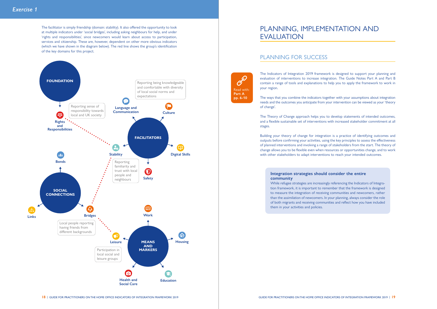<span id="page-9-0"></span>The facilitator is simply friendship (domain: stability). It also offered the opportunity to look at multiple indicators under 'social bridges', including asking neighbours for help, and under 'rights and responsibilities', since newcomers would learn about access to participation, services and citizenship. These are, however, dependent on other more obvious indicators (which we have shown in the diagram below). The red line shows the group's identification of the key domains for this project.



# PLANNING FOR SUCCESS

The Indicators of Integration 2019 framework is designed to support your planning and evaluation of interventions to increase integration. The Guide Notes Part A and Part B contain a range of tools and explanations to help you to apply the framework to work in your region.

The ways that you combine the indicators together with your assumptions about integration needs and the outcomes you anticipate from your intervention can be viewed as your 'theory of change'.

The Theory of Change approach helps you to develop statements of intended outcomes, and a flexible sustainable set of interventions with increased stakeholder commitment at all stages.

Building your theory of change for integration is a practice of identifying outcomes and outputs before confirming your activities, using the key principles to assess the effectiveness of planned interventions and involving a range of stakeholders from the start. The theory of change allows you to be flexible even when resources or opportunities change, and to work with other stakeholders to adapt interventions to reach your intended outcomes.

## **Integration strategies should consider the entire community**

While refugee strategies are increasingly referencing the Indicators of Integration framework, it is important to remember that the framework is designed to measure the integration of receiving communities and newcomers, rather than the assimilation of newcomers. In your planning, always consider the role of both migrants and receiving communities and reflect how you have included them in your activities and policies.

# PLANNING, IMPLEMENTATION AND EVALUATION

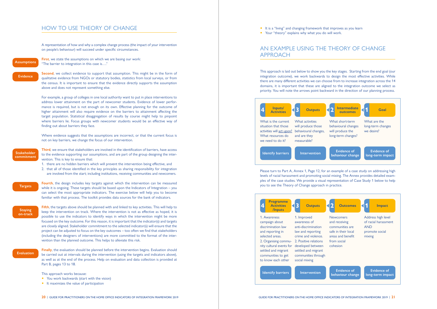## <span id="page-10-0"></span>HOW TO USE THEORY OF CHANGE

A representation of how and why a complex change process (the impact of your intervention on people's behaviour) will succeed under specific circumstances.

**First**, we state the assumptions on which we are basing our work: "The barrier to integration in this case is…."

**Second**, we collect evidence to support that assumption. This might be in the form of qualitative evidence from NGOs or statutory bodies, statistics from local surveys, or from the census. It is important to ensure that the evidence directly supports the assumption above and does not represent something else.

For example, a group of colleges in one local authority want to put in place interventions to address lower attainment on the part of newcomer students. Evidence of lower performance is required, but is not enough on its own. Effective planning for the outcome of higher attainment will also require evidence on the barriers to attainment affecting the target population. Statistical disaggregation of results by course might help to pinpoint where barriers lie. Focus groups with newcomer students would be an effective way of finding out about barriers they face.

**Fourth**, the design includes key targets against which the intervention can be measured while it is ongoing. These targets should be based upon the Indicators of Integration – you can select the most appropriate indicators. The exercise below will help you to become familiar with that process. The toolkit provides data sources for the bank of indicators.

Where evidence suggests that the assumptions are incorrect, or that the current focus is not on key barriers, we change the focus of our intervention.

**Third**, we ensure that stakeholders are involved in the identification of barriers, have access to the evidence supporting our assumptions, and are part of the group designing the intervention. This is key to ensure that:

- 1. there are no hidden barriers which will prevent the intervention being effective, and
- 2. that all of those identified in the key principles as sharing responsibility for integration are involved from the start; including institutions, receiving communities and newcomers.

**Fifth**, the targets above should be planned with and linked to key activities. This will help to keep the intervention on track. Where the intervention is not as effective as hoped, it is possible to use the indicators to identify ways in which the intervention might be more focused on the key outcome. For this reason, it is important that the indicator(s) and targets are closely aligned. Stakeholder commitment to the selected indicator(s) will ensure that the project can be adjusted to focus on the key outcomes – too often we find that stakeholders (including the designers of interventions) are more committed to the format of the intervention than the planned outcome. This helps to alleviate this risk.

**Finally**, the evaluation should be planned before the intervention begins. Evaluation should be carried out at intervals during the intervention (using the targets and indicators above), as well as at the end of the process. Help on evaluation and data collection is provided at Part B, pages 13 to 18.

This approach works because:

- **•** You work backwards (start with the vision)
- **•** It maximizes the value of participation

**Assumptions**

**Evidence**

**Targets**

## **Evaluation**

**Stakeholder commitment**

> **Staying on-track**

- **•** It is a "living" and changing framework that improves as you learn
- **•** Your "theory" explains why what you do will work.

## AN EXAMPLE USING THE THEORY OF CHANGE APPROACH

This approach is laid out below to show you the key stages. Starting from the end goal (our integration outcome), we work backwards to design the most effective activities. While there are many different activities we can choose from to increase integration across the 14 domains, it is important that these are aligned to the integration outcome we select as priority. You will note the arrows point backward in the direction of our planning process.

Please turn to Part A, Annex 1, Page 12, for an example of a case study on addressing high levels of racial harassment and promoting social mixing. The Annex provides detailed examples of the case studies. We provide a visual representation of Case Study 1 below to help you to see the Theory of Change approach in practice.



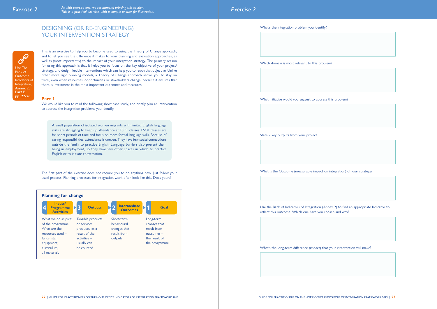Use The Bank of **Outcome** Indicators of Integration, **Annex 2, Part B pp. 22-26**

## <span id="page-11-0"></span>DESIGNING (OR RE-ENGINEERING) YOUR INTERVENTION STRATEGY



This is an exercise to help you to become used to using the Theory of Change approach, and to let you see the difference it makes to your planning and evaluation approaches, as well as (most importantly) to the impact of your integration strategy. The primary reason for using this approach is that it helps you to focus on the key objective of your project/ strategy, and design flexible interventions which can help you to reach that objective. Unlike other more rigid planning models, a Theory of Change approach allows you to stay on track, even when resources, opportunities or stakeholders change, because it ensures that there is investment in the most important outcomes and measures.



## **Part 1**

We would like you to read the following short case study, and briefly plan an intervention to address the integration problems you identify.

A small population of isolated women migrants with limited English language skills are struggling to keep up attendance at ESOL classes. ESOL classes are for short periods of time and focus on more formal language skills. Because of caring responsibilities, attendance is uneven. They have few social connections outside the family to practice English. Language barriers also prevent them being in employment, so they have few other spaces in which to practice English or to initiate conversation.

The first part of the exercise does not require you to do anything new. Just follow your usual process. Planning processes for integration work often look like this. Does yours?

What's the integration problem you identify?

Which domain is most relevant to this problem?

What initiative would you suggest to address this problem?

State 2 key outputs from your project.

What is the Outcome (measurable impact on integration) of your strategy?

Use the Bank of Indicators of Integration (Annex 2) to find an appropriate Indicator to reflect this outcome. Which one have you chosen and why?

What's the long-term difference (impact) that your intervention will make?

## *Exercise 2*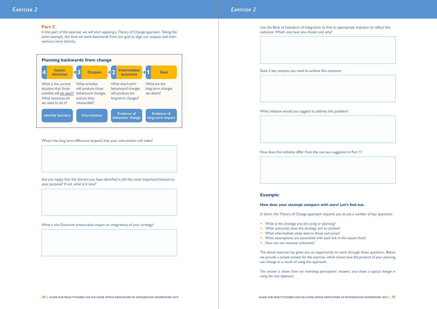## **Part 2**

In this part of the exercise, we will start applying a Theory of Change approach. Taking the same example, this time we work backwards from our goal to align our outputs and interventions more directly.



- **•** What is the strategy you are using or planning?
- What outcomes does the strategy aim to achieve?
- **•** What intermediate steps lead to those outcomes?
- **•** What assumptions are associated with each link in the causal chain?
- How can we measure outcomes?

What's the long term difference (impact) that your intervention will make?

Are you happy that the domain you have identified is still the most important/relevant to your purpose? If not, what is it now?

What is the Outcome (measurable impact on integration) of your strategy?

# Use the Bank of Indicators of Integration to find an appropriate Indicator to reflect this

is problem?

- 
- 
- 

| outcome. Which one have you chosen and why?             |  |  |  |
|---------------------------------------------------------|--|--|--|
|                                                         |  |  |  |
|                                                         |  |  |  |
|                                                         |  |  |  |
|                                                         |  |  |  |
|                                                         |  |  |  |
|                                                         |  |  |  |
|                                                         |  |  |  |
| State 2 key outputs you need to achieve this outcome.   |  |  |  |
|                                                         |  |  |  |
|                                                         |  |  |  |
|                                                         |  |  |  |
|                                                         |  |  |  |
|                                                         |  |  |  |
|                                                         |  |  |  |
|                                                         |  |  |  |
|                                                         |  |  |  |
| What initiative would you suggest to address this probl |  |  |  |
|                                                         |  |  |  |
|                                                         |  |  |  |
|                                                         |  |  |  |
|                                                         |  |  |  |
|                                                         |  |  |  |
|                                                         |  |  |  |
|                                                         |  |  |  |

How does this initiative differ from the one you suggested in Part 1?

## **Example:**

## **How does your attempt compare with ours? Let's find out.**

In short, the Theory of Change approach requires you to ask a number of key questions:

The above exercise has given you an opportunity to work through these questions. Below we provide a sample answer for the exercise, which shows how the product of your planning can change as a result of using this approach.

*This answer is drawn from our workshop participants' answers, and shows a typical change in using the new approach.* 

## *Exercise 2*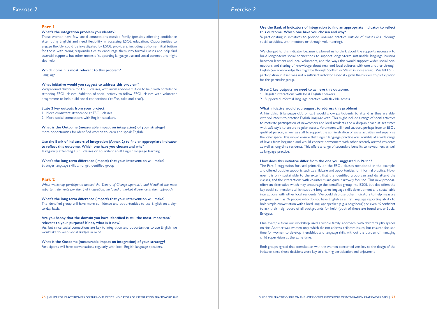## **Part 1**

## **What's the integration problem you identify?**

These women have few social connections outside family (possibly affecting confidence attempting English) and need flexibility in accessing ESOL education. Opportunities to engage flexibly could be investigated by ESOL providers, including at-home initial tuition for those with caring responsibilities to encourage them into formal classes and help find essential supports but other means of supporting language use and social connections might also help.

**Which domain is most relevant to this problem?**

Language

## **What initiative would you suggest to address this problem?**

Wraparound childcare for ESOL classes, with initial at-home tuition to help with confidence attending ESOL classes. Addition of social activity to follow ESOL classes with volunteer programme to help build social connections ('coffee, cake and chat').

## **State 2 key outputs from your project.**

- 1. More consistent attendance at ESOL classes.
- 2. More social connections with English speakers.

**What is the Outcome (measurable impact on integration) of your strategy?**  More opportunities for identified women to learn and speak English.

**Use the Bank of Indicators of Integration (Annex 2) to find an appropriate Indicator to reflect this outcome. Which one have you chosen and why?**  % regularly attending ESOL classes or equivalent adult English language learning

**What's the long term difference (impact) that your intervention will make?**  Stronger language skills amongst identified group

## **Part 2**

*When workshop participants applied the Theory of Change approach, and identified the most important elements (for them) of integration, we found a marked difference in their approach.* 

## **What's the long term difference (impact) that your intervention will make?**

The identified group will have more confidence and opportunities to use English on a dayto-day basis.

## **Are you happy that the domain you have identified is still the most important/ relevant to your purpose? If not, what is it now?**

Yes, but since social connections are key to integration and opportunities to use English, we would like to keep Social Bridges in mind.

**What is the Outcome (measurable impact on integration) of your strategy?**  Participants will have conversations regularly with local English language speakers.

**Use the Bank of Indicators of Integration to find an appropriate Indicator to reflect this outcome. Which one have you chosen and why?**  % participating in initiatives to provide language practice outside of classes (e.g. through social activities, with mentors or through volunteering).

We changed to this indicator because it allowed us to think about the supports necessary to build longer-term social connections to support longer-term sustainable language learning between learners and local volunteers, and the ways this would support wider social connections and sharing of knowledge about new and local cultures with one another through English (we acknowledge this might be through Scottish or Welsh in some areas). We felt ESOL participation in itself was not a sufficient indicator especially given the barriers to participation for this particular group.

## **State 2 key outputs we need to achieve this outcome.**

- 1. Regular interactions with local English speakers
- 2. Supported informal language practice with flexible access

### **What initiative would you suggest to address this problem?**

A friendship & language club or café would allow participants to attend as they are able, with volunteers to practice English language with. This might include a range of social activities to motivate participation of newcomers and local residents and a drop-in space at set times with café style to ensure regular access. Volunteers will need support, perhaps from an ESOL qualified person, as well as staff to support the administration of social activities and supervise the 'café' space. This would ensure that English language practice was available at a wide range of levels from beginner, and would connect newcomers with other recently arrived residents as well as long-time residents. This offers a range of secondary benefits to newcomers as well as language practice.

**How does this initiative differ from the one you suggested in Part 1?**  The Part 1 suggestion focused primarily on the ESOL classes mentioned in the example, and offered positive supports such as childcare and opportunities for informal practice. However it is only sustainable to the extent that the identified group can and do attend the classes, and the interactions with volunteers are quite narrowly focused. This new proposal offers an alternative which may encourage the identified group into ESOL but also offers the key social connections which support long-term language skills development and sustainable interactions with other local residents. We could also use other indicators to help measure progress, such as '% people who do not have English as a first language reporting ability to hold simple conversation with a local language speaker (e.g. a neighbour)'; or even '% confident to ask their neighbours of all backgrounds for help' (both of these are found under Social Bridges).

One example from our workshop used a 'whole family' approach, with children's play spaces on site. Another was women-only, which did not address childcare issues, but ensured focused time for women to develop friendships and language skills without the burden of managing child supervision at the same time.

Both groups agreed that consultation with the women concerned was key to the design of the initiative, since those decisions were key to ensuring participation and enjoyment.

## *Exercise 2*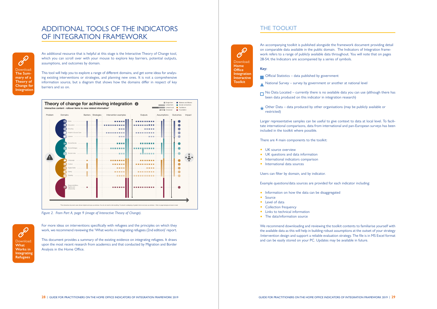An additional resource that is helpful at this stage is the Interactive Theory of Change tool, which you can scroll over with your mouse to explore key barriers, potential outputs, assumptions, and outcomes by domain.

This tool will help you to explore a range of different domains, and get some ideas for analysing existing interventions or strategies, and planning new ones. It is not a comprehensive information source, but a diagram that shows how the domains differ in respect of key barriers and so on. The second publications of indicates in the second publication of integration-framework-20

 $\mathscr{P}$ Download **What Works in Integrating Refugees**

For more ideas on interventions specifically with refugees and the principles on which they work, we recommend reviewing the 'What works in integrating refugees (2nd edition)' report.

This document provides a summary of the existing evidence on integrating refugees. It draws upon the most recent research from academics and that conducted by Migration and Border Analysis in the Home Office.

# <span id="page-14-0"></span>ADDITIONAL TOOLS OF THE INDICATORS OF INTEGRATION FRAMEWORK

 $\mathscr{P}$ Download: **The Summary of a Theory of Change for** 

**Integration**

- $\blacksquare$  Official Statistics data published by government
- National Survey survey by government or another at national level
- $\Box$  No Data Located currently there is no available data you can use (although there has been data produced on this indicator in integration research)
- Other Data data produced by other organisations (may be publicly available or restricted)

- Information on how the data can be disaggregated
- **•** Source
- **•** Level of data
- **•** Collection frequency
- **•** Links to technical information
- **•** The data/information source



 $\mathscr{E}$ Download: **Home Key: Office Integration Interactive Toolkit**

*Figure 2. From Part A, page 9 (image of Interactive Theory of Change).*

## THE TOOLKIT

An accompanying toolkit is published alongside the framework document providing detail on comparable data available in the public domain. The Indicators of Integration framework refers to a range of publicly available data throughout. You will note that on pages 28-54, the Indicators are accompanied by a series of symbols.

Larger representative samples can be useful to give context to data at local level. To facilitate international comparisons, data from international and pan-European surveys has been included in the toolkit where possible.

There are 4 main components to the toolkit:

- **•** UK source overview
- **•** UK questions and data information
- **•** International indicators comparison
- **•** International data sources

Users can filter by domain, and by indicator.

Example questions/data sources are provided for each indicator including:

We recommend downloading and reviewing the toolkit contents to familiarise yourself with the available data as this will help in building robust assumptions at the outset of your strategy /intervention design and support a reliable evaluation strategy. The file is in MS Excel format and can be easily stored on your PC. Updates may be available in future.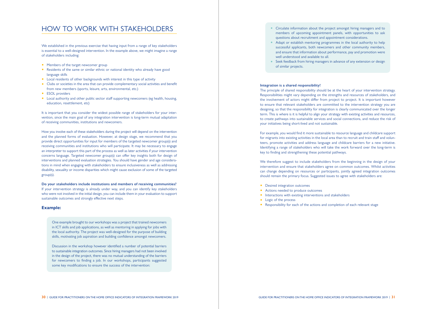# <span id="page-15-0"></span>HOW TO WORK WITH STAKEHOLDERS

We established in the previous exercise that having input from a range of key stakeholders is essential to a well-designed intervention. In the example above, we might imagine a range of stakeholders including:

- **•** Members of the target newcomer group
- **•** Residents of the same or similar ethnic or national identity who already have good language skills
- **•** Local residents of other backgrounds with interest in this type of activity
- Clubs or societies in the area that can provide complementary social activities and benefit from new members (sports, leisure, arts, environmental, etc.)
- **•** ESOL providers
- **•** Local authority and other public sector staff supporting newcomers (eg health, housing, education, resettlement, etc)

It is important that you consider the widest possible range of stakeholders for your intervention, since the main goal of any integration intervention is long-term mutual adaptation of receiving communities, institutions and newcomers.

How you involve each of these stakeholders during the project will depend on the intervention and the planned forms of evaluation. However, at design stage, we recommend that you provide direct opportunities for input for members of the targeted newcomer group(s) and receiving communities and institutions who will participate. It may be necessary to engage an interpreter to support this part of the process as well as later activities if your intervention concerns language. Targeted newcomer group(s) can offer key insights both for design of interventions and planned evaluation strategies. You should have gender and age considerations in mind when engaging with stakeholders to ensure inclusiveness as well as addressing disability, sexuality or income disparities which might cause exclusion of some of the targeted group(s).

**Do your stakeholders include institutions and members of receiving communities?**  If your intervention strategy is already under way, and you can identify key stakeholders who were not involved in the initial design, you can include them in your evaluation to support sustainable outcomes and strongly effective next steps.

## **Example:**

One example brought to our workshops was a project that trained newcomers in ICT skills and job applications, as well as mentoring in applying for jobs with the local authority. The project was well-designed for the purpose of building skills, motivating job aspiration and building confidence amongst newcomers.

Discussion in the workshop however identified a number of potential barriers to sustainable integration outcomes. Since hiring managers had not been involved in the design of the project, there was no mutual understanding of the barriers for newcomers to finding a job. In our workshops, participants suggested some key modifications to ensure the success of the intervention:

- **•** Circulate information about the project amongst hiring managers and to members of upcoming appointment panels, with opportunities to ask questions about recruitment and appointment considerations.
- **•** Adapt or establish mentoring programmes in the local authority to help successful applicants, both newcomers and other community members, and ensure that information about performance, pay and promotion were well understood and available to all.
- **•** Seek feedback from hiring managers in advance of any extension or design of similar projects.

### **Integration is a shared responsibility!**

The principle of shared responsibility should be at the heart of your intervention strategy. Responsibilities might vary depending on the strengths and resources of stakeholders, and the involvement of actors might differ from project to project. It is important however to ensure that relevant stakeholders are committed to the intervention strategy you are designing, so that the responsibility for integration is clearly communicated over the longer term. This is where is it is helpful to align your strategy with existing activities and resources, to create pathways into sustainable services and social connections, and reduce the risk of your initiatives being short-lived and not sustainable.

For example, you would find it more sustainable to resource language and childcare support for migrants into existing activities in the local area than to recruit and train staff and volunteers, promote activities and address language and childcare barriers for a new initiative. Identifying a range of stakeholders who will take the work forward over the long-term is key to finding and strengthening these potential pathways.

We therefore suggest to include stakeholders from the beginning in the design of your intervention and ensure that stakeholders agree on common outcomes. Whilst activities can change depending on resources or participants, jointly agreed integration outcomes should remain the primary focus. Suggested issues to agree with stakeholders are:

- **•** Desired integration outcomes
- **•** Actions needed to produce outcomes
- **•** Interactions with existing interventions and stakeholders
- **•** Logic of the process
- **•** Responsibility for each of the actions and completion of each relevant stage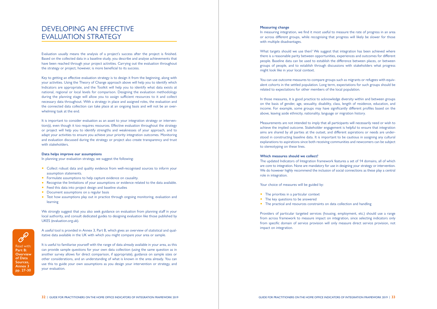# DEVELOPING AN EFFECTIVE EVALUATION STRATEGY

Evaluation usually means the analysis of a project's success after the project is finished. Based on the collected data in a baseline study, you describe and analyse achievements that have been reached through your project activities. Carrying out the evaluation throughout the strategy or project, however, is more beneficial to its success.

Key to getting an effective evaluation strategy is to design it from the beginning, along with your activities. Using the Theory of Change approach above will help you to identify which Indicators are appropriate, and the Toolkit will help you to identify what data exists at national, regional or local levels for comparison. Designing the evaluation methodology during the planning stage will allow you to assign sufficient resources to it and collect necessary data throughout. With a strategy in place and assigned roles, the evaluation and the connected data collection can take place at an ongoing basis and will not be an over whelming task at the end.

It is important to consider evaluation as an asset to your integration strategy or intervention(s), even though it too requires resources. Effective evaluation throughout the strategy or project will help you to identify strengths and weaknesses of your approach, and to adapt your activities to ensure you achieve your priority integration outcomes. Monitoring and evaluation discussed during the strategy or project also create transparency and trust with stakeholders.

- Collect robust data and quality evidence from well-recognised sources to inform your assumption statements.
- 
- Formulate assumptions to help capture evidence on causality.<br>
Recognise the limitations of your assumptions or evidence related to the data available.<br>
Feed this data into project design and baseline studies<br>
Docum
- 
- 
- learning

#### **Data helps improve our assumptions**

In planning your evaluation strategy, we suggest the following:

We strongly suggest that you also seek guidance on evaluation from planning staff in your local authority, and consult dedicated guides to designing evaluation like those published by UKES (evaluation.org.uk).

A useful tool is provided in Annex 3, Part B, which gives an overview of statistical and qual itative data available in the UK with which you might compare your area or sample.

It is useful to familiarise yourself with the range of data already available in your area, as this can provide sample questions for your own data collection (using the same question as in another survey allows for direct comparison, if appropriate), guidance on sample sizes or other considerations, and an understanding of what is known in the area already. You can use this to guide your own assumptions as you design your intervention or strategy, and your evaluation.



#### **Measuring change**

In measuring integration, we find it most useful to measure the rate of progress in an area or across different groups, while recognising that progress will likely be slower for those with multiple disadvantages.

What targets should we use then? We suggest that integration has been achieved where there is a reasonable parity between opportunities, experiences and outcomes for different people. Baseline data can be used to establish the difference between places, or between groups of people, and to establish through discussions with stakeholders what progress might look like in your local context.

You can use outcome measures to compare groups such as migrants or refugees with equiv alent cohorts in the settled population. Long term, expectations for such groups should be related to expectations for other members of the local population.

In those measures, it is good practice to acknowledge diversity within and between groups on the basis of gender, age, sexuality, disability, class, length of residence, education, and income. For example, some groups may have significantly different profiles based on the above, leaving aside ethnicity, nationality, language or migration history.

Measurements are not intended to imply that all participants will necessarily need or wish to achieve the implied outcome. Stakeholder engagement is helpful to ensure that integration aims are shared by all parties at the outset, and different aspirations or needs are under stood in constructing baseline data. It is important to be cautious in assigning any cultural explanations to aspirations since both receiving communities and newcomers can be subject to stereotyping on these lines.

#### **Which measures should we collect?**

The updated Indicators of Integration framework features a set of 14 domains, all of which are core to integration. None are mandatory for use in designing your strategy or intervention. We do however highly recommend the inclusion of social connections as these play a central role in integration.

Your choice of measures will be guided by:

- **•** The priorities in a particular context **•** The key questions to be answered **•** The practical and resources constraints on data collection and handling
- 
- 

Providers of particular targeted services (housing, employment, etc.) should use a range from across framework to measure impact on integration, since selecting indicators only from specific domain of service provision will only measure direct service provision, not impact on integration.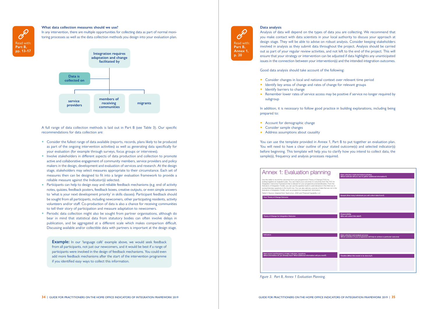### **What data collection measures should we use?**

In any intervention, there are multiple opportunities for collecting data as part of normal monitoring processes as well as the data collection methods you design into your evaluation plan.

A full range of data collection methods is laid out in Part B (see Table 3). Our specific recommendations for data collection are:

- Consider the fullest range of data available (reports, records, plans likely to be produced as part of the ongoing intervention activities) as well as generating data specifically for your evaluation (for example through surveys, focus groups or interviews).
- **•** Involve stakeholders in different aspects of data production and collection to promote active and collaborative engagement of community members, service providers and policy makers in the design, development and evaluation of services and research. At the design stage, stakeholders may select measures appropriate to their circumstance. Each set of measures then can be designed to fit into a larger evaluation framework to provide a reliable measure against the Indicator(s) selected.
- Participants can help to design easy and reliable feedback mechanisms (e.g. end of activity notes, quizzes, feedback posters, feedback boxes, creative outputs, or even simple answers to 'what is your next development priority' in skills classes). Participant feedback should be sought from all participants, including newcomers, other participating residents, activity volunteers and/or staff. Co-production of data is also a chance for receiving communities to tell their story of participation and measure adaptation to newcomers.
- **•** Periodic data collection might also be sought from partner organisations, although do bear in mind that statistical data from statutory bodies can often involve delays in publication, and be aggregated at a different scale which makes comparison difficult. Discussing available and/or collectible data with partners is important at the design stage.

**Example:** In our 'language café' example above, we would seek feedback from all participants, not just our newcomers, and it would be best if a range of participants were involved in the design of feedback mechanisms. You could even add more feedback mechanisms after the start of the intervention programme if you identified easy ways to collect this information.



Use this table to record the outcomes from your programme's Theory of Change (TOC) for<br>putting together an evaluation plan. You can match your outcomes to outcomes from the 1 putting together an evaluation plan. You can match your outcomes to outcomes from the TOC for<br>Integration Outcomes Framework that is relevant for your programme and beneficiaries. From the<br>Indicators of Integration Toolkit In the Islam of Integration Toolkit, such as programme management in  $\alpha$ *Table 5: Source: Adapted from Taylor et al., 2005 and Financial Capability, n.d.*



#### **Data analysis**

Analysis of data will depend on the types of data you are collecting. We recommend that you make contact with data scientists in your local authority to discuss your approach at design stage. They will be able to advise on robust analysis. Consider keeping stakeholders involved in analysis as they submit data throughout the project. Analysis should be carried out as part of your regular review activities, and not left to the end of the project. This will ensure that your strategy or intervention can be adjusted if data highlights any unanticipated issues in the connection between your intervention(s) and the intended integration outcomes.

Good data analysis should take account of the following:

- **•** Consider changes in local and national context over relevant time period
- **•** Identify key areas of change and rates of change for relevant groups
- **•** Identify barriers to change
- Remember lower rates of service access may be positive if service no longer required by subgroup

prepared to:

- **•** Account for demographic change
- **•** Consider sample changes
- **•** Address assumptions about causality

You can use the template provided in Annex 1, Part B to put together an evaluation plan. You will need to have a clear outline of your stated outcome(s) and selected indicator(s) before beginning. This template will help you to clarify how you intend to collect data, the sample(s), frequency and analysis processes required.



## Annex 1: Evaluation planning

Your Theory of Change Outcome Theory of Change for Integration Out Indicators Data source and frequency of data collection, questions (What information do you already have? What additional information will you need?)

*Figure 3. Part B, Annex 1 Evaluation Planning.*

| 1                                         | Data collection methods/related activities<br>(What methods will you use to gather additional information?)            |
|-------------------------------------------|------------------------------------------------------------------------------------------------------------------------|
| OC for<br>m the<br>i row or<br>not in the |                                                                                                                        |
|                                           | Sample (How many individuals you will collect data from?)                                                              |
|                                           | Responsibility<br>(Who will collect this data?)                                                                        |
|                                           | Data collection and analysis process<br>(Which activities of your programme will help to achieve a particular outcome) |
|                                           | Timeline (When this needs to be done by?)                                                                              |

- 
- In addition, it is necessary to follow good practice in building explanations, including being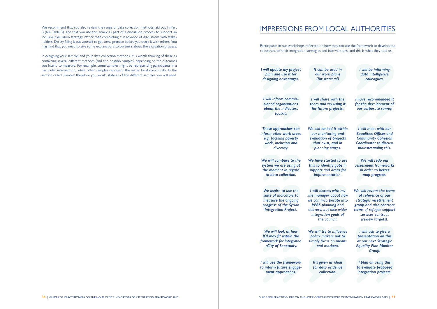<span id="page-18-0"></span>We recommend that you also review the range of data collection methods laid out in Part B (see Table 3), and that you use this annex as part of a discussion process to support an inclusive evaluation strategy, rather than completing it in advance of discussions with stakeholders. Do try filling it out yourself to get some practice before you share it with others! You may find that you need to give some explanations to partners about the evaluation process.

In designing your sample, and your data collection methods, it is worth thinking of these as containing several different methods (and also possibly samples) depending on the outcomes you intend to measure. For example, some samples might be representing participants in a particular intervention, while other samples represent the wider local community. In the section called 'Sample' therefore you would state all of the different samples you will need.

*I will update my project plan and use it for designing next stages.* 

*These approaches can inform other work areas e.g. tackling poverty work, inclusion and diversity.*

*We aspire to use the suite of indicators to measure the ongoing progress of the Syrian Integration Project.*

*I will use the framework to inform future engagement approaches.*

*I will inform commissioned organisations about the indicators toolkit.*

*We will compare to the system we are using at the moment in regard to data collection.*

*We will look at how IOI may fit within the framework for Integrated /City of Sanctuary.*

*It can be used in* 

*our work plans (for starters!)*

*We will embed it within our monitoring and evaluation of projects that exist, and in* 

*planning stages.* 

*I will discuss with my line manager about how we can incorporate into VPRS planning and delivery, but also wider integration goals of the council.* 

*It's given us ideas for data evidence collection.*

*I will share with the team and try using it for future projects.*

*We have started to use this to identify gaps in support and areas for implementation.*

*We will try to influence policy makers not to simply focus on means and markers.* 

*I will be informing data intelligence colleagues.*

*I will meet with our Equalities Officer and Community Cohesion Coordinator to discuss mainstreaming this.*

*We will review the terms of reference of our strategic resettlement group and also contract terms of refugee support services contract (review targets).* 

*I plan on using this to evaluate proposed integration projects.*

*I have recommended it for the development of our corporate survey.*

*We will redo our assessment frameworks in order to better map progress.* 

*I will ask to give a presentation on this at our next Strategic Equality Plan Monitor Group.* 

# IMPRESSIONS FROM LOCAL AUTHORITIES

Participants in our workshops reflected on how they can use the framework to develop the robustness of their integration strategies and interventions, and this is what they told us.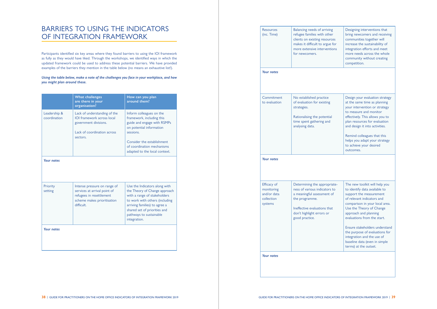# <span id="page-19-0"></span>BARRIERS TO USING THE INDICATORS OF INTEGRATION FRAMEWORK

Participants identified six key areas where they found barriers to using the IOI framework as fully as they would have liked. Through the workshops, we identified ways in which the updated framework could be used to address these potential barriers. We have provided examples of the barriers they mention in the table below (no means an exhaustive list!).

*Using the table below, make a note of the challenges you face in your workplace, and how you might plan around these.* 

|                              | <b>What challenges</b><br>are there in your<br>organisation?                                                                          | How can you plan<br>around them?                                                                                                                                                                                                             |
|------------------------------|---------------------------------------------------------------------------------------------------------------------------------------|----------------------------------------------------------------------------------------------------------------------------------------------------------------------------------------------------------------------------------------------|
| Leadership &<br>coordination | Lack of understanding of the<br><b>IOI</b> framework across local<br>government divisions.<br>Lack of coordination across<br>sectors. | Inform colleagues on the<br>framework, including this<br>guide and engage with RSMPs<br>on potential information<br>sessions.<br>Consider the establishment<br>of coordination mechanisms<br>adapted to the local context.                   |
| <b>Your notes</b>            |                                                                                                                                       |                                                                                                                                                                                                                                              |
| Priority<br>setting          | Intense pressure on range of<br>services at arrival point of<br>refugees in resettlement<br>scheme makes prioritisation<br>difficult. | Use the Indicators along with<br>the Theory of Change approach<br>with a range of stakeholders<br>to work with others (including<br>arriving families) to agree a<br>shared set of priorities and<br>pathways to sustainable<br>integration. |
| <b>Your notes</b>            |                                                                                                                                       |                                                                                                                                                                                                                                              |

| <b>Resources</b><br>(inc. Time)                                   | Balancing needs of arriving<br>refugee families with other<br>clients on existing resources<br>makes it difficult to argue for<br>more extensive interventions<br>for newcomers.             |
|-------------------------------------------------------------------|----------------------------------------------------------------------------------------------------------------------------------------------------------------------------------------------|
| <b>Your notes</b>                                                 |                                                                                                                                                                                              |
| Commitment<br>to evaluation                                       | No established practice<br>of evaluation for existing<br>strategies.<br>Rationalising the potential<br>time spent gathering and<br>analysing data.                                           |
| <b>Your notes</b>                                                 |                                                                                                                                                                                              |
| Efficacy of<br>monitoring<br>and/or data<br>collection<br>systems | Determining the appropriate-<br>ness of various indicators to<br>a meaningful assessment of<br>the programme.<br>Ineffective evaluations that<br>don't highlight errors or<br>good practice. |
| <b>Your notes</b>                                                 |                                                                                                                                                                                              |

| ٦g<br>er<br>ces<br>e for<br>tions | Designing interventions that<br>bring newcomers and receiving<br>communities together will<br>increase the sustainability of<br>integration efforts and meet<br>more needs across the whole<br>community without creating<br>competition.                                                                                                |
|-----------------------------------|------------------------------------------------------------------------------------------------------------------------------------------------------------------------------------------------------------------------------------------------------------------------------------------------------------------------------------------|
|                                   |                                                                                                                                                                                                                                                                                                                                          |
| al                                | Design your evaluation strategy<br>at the same time as planning<br>your intervention or strategy<br>to measure and monitor<br>effectively. This allows you to<br>plan resources for evaluation<br>and design it into activities.<br>Remind colleagues that this<br>helps you adapt your strategy<br>to achieve your desired<br>outcomes. |
|                                   |                                                                                                                                                                                                                                                                                                                                          |
| riate-<br>s to<br>of<br>at        | The new toolkit will help you<br>to identify data available to<br>support the measurement<br>of relevant indicators and<br>comparison in your local area.<br>Use the Theory of Change<br>approach and planning<br>evaluations from the start.                                                                                            |

Ensure stakeholders understand the purpose of evaluations for integration and the use of baseline data (even in simple terms) at the outset.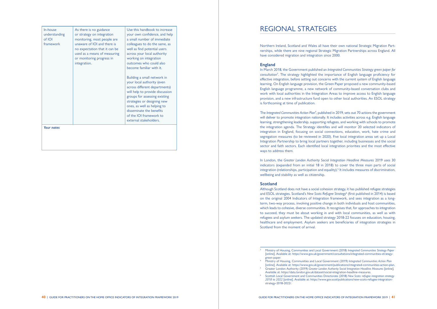<span id="page-20-0"></span>

| In-house<br>understanding<br>of IOI<br>framework | As there is no guidance<br>or strategy on integration<br>monitoring, most people are<br>unaware of IOI and there is<br>no expectation that it can be<br>used as a means of measuring<br>or monitoring progress in<br>integration. | Use this handbook to increase<br>your own confidence, and help<br>a small number of immediate<br>colleagues to do the same, as<br>well as find potential users<br>across your local authority<br>working on integration<br>outcomes who could also<br>become familiar with it.<br>Building a small network in |
|--------------------------------------------------|-----------------------------------------------------------------------------------------------------------------------------------------------------------------------------------------------------------------------------------|---------------------------------------------------------------------------------------------------------------------------------------------------------------------------------------------------------------------------------------------------------------------------------------------------------------|
|                                                  |                                                                                                                                                                                                                                   | your local authority (even<br>across different departments)<br>will help to provide discussion<br>groups for assessing existing<br>strategies or designing new<br>ones, as well as helping to<br>disseminate the benefits<br>of the IOI framework to<br>external stakeholders.                                |
| <b>Your notes</b>                                |                                                                                                                                                                                                                                   |                                                                                                                                                                                                                                                                                                               |

Northern Ireland, Scotland and Wales all have their own national Strategic Migration Partnerships, while there are nine regional Strategic Migration Partnerships across England. All have considered migration and integration since 2000.

## **England**

In March 2018, the Government published an *Integrated Communities Strategy green paper for consultation*<sup>3</sup> . The strategy highlighted the importance of English language proficiency for effective integration, before setting out concerns with the current system of English language learning. On English language provision, the Green Paper proposed a new community-based English language programme, a new network of community-based conversation clubs and work with local authorities in the Integration Areas to improve access to English language provision, and a new infrastructure fund open to other local authorities. An ESOL strategy is forthcoming at time of publication.

The *Integrated Communities Action Plan*<sup>4</sup> , published in 2019, sets out 70 actions the government will deliver to promote integration nationally. It includes activities across e.g. English language learning, strengthening leadership, supporting refugees, and working with schools to promote the integration agenda. The Strategy identifies and will monitor 20 selected indicators of integration in England, focusing on social connections, education, work, hate crime and segregation measures (to be reviewed in 2020). Five local integration areas set up a Local Integration Partnership to bring local partners together, including businesses and the social sector and faith sectors. Each identified local integration priorities and the most effective ways to address them.

In London, the *Greater London Authority Social Integration Headline Measures* 2019 uses 30 indicators (expanded from an initial 18 in 2018) to cover the three main parts of social integration (relationships, participation and equality).<sup>5</sup> It includes measures of discrimination, wellbeing and stability as well as citizenship.

## **Scotland**

Although Scotland does not have a social cohesion strategy, it has published refugee strategies and ESOL strategies. Scotland's *New Scots Refugee Strategy*<sup>6</sup> (first published in 2014) is based on the original 2004 Indicators of Integration framework, and sees integration as a longterm, two-way process, involving positive change in both individuals and host communities, which leads to cohesive, diverse communities. It recognises that, for approaches to integration to succeed, they must be about working in and with local communities, as well as with refugees and asylum seekers. The updated strategy 2018-22 focuses on education, housing, healthcare and employment. Asylum seekers are beneficiaries of integration strategies in Scotland from the moment of arrival.

<sup>3</sup> Ministry of Housing, Communities and Local Government (2018) *Integrated Communities Strategy Paper* [online]. Available at: [https://www.gov.uk/government/consultations/integrated-communities-strategy](https://www.gov.uk/government/consultations/integrated-communities-strategy-green-paper)[green-paper.](https://www.gov.uk/government/consultations/integrated-communities-strategy-green-paper)

<sup>4</sup> Ministry of Housing, Communities and Local Government (2019) *Integrated Communities Action Plan*  [online]. Available at: https://www.gov.uk/government/publications/integrated-communities-action-plan. <sup>5</sup> Greater London Authority (2019) *Greater London Authority Social Integration Headline Measures* [online].

Available at: https://data.london.gov.uk/dataset/social-integration-headline-measures.

<sup>6</sup> Scottish Local Government and Communities Directorate (2018) *New Scots: refugee integration strategy 2018 to 2022* [online]. Available at: [https://www.gov.scot/publications/new-scots-refugee-integration](https://www.gov.scot/publications/new-scots-refugee-integration-strategy-2018-2022/)[strategy-2018-2022/](https://www.gov.scot/publications/new-scots-refugee-integration-strategy-2018-2022/).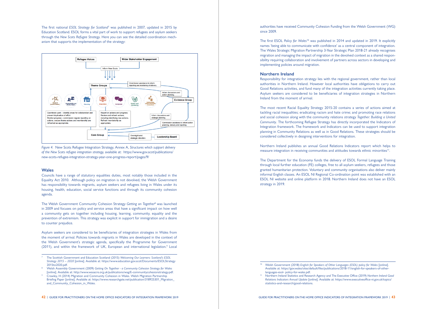The first national *ESOL Strategy for Scotland*<sup>7</sup> was published in 2007, updated in 2015 by Education Scotland. ESOL forms a vital part of work to support refugees and asylum seekers through the *New Scots Refugee Strategy*. Here you can see the detailed coordination mechanism that supports the implementation of the strategy:



## **Wales**

Councils have a range of statutory equalities duties, most notably those included in the Equality Act 2010. Although policy on migration is not devolved, the Welsh Government has responsibility towards migrants, asylum seekers and refugees living in Wales under its housing, health, education, social service functions and through its community cohesion agenda.

Asylum seekers are considered to be beneficiaries of integration strategies in Wales from the moment of arrival. Policies towards migrants in Wales are developed in the context of the Welsh Government's strategic agenda, specifically the Programme for Government (2011), and within the framework of UK, European and international legislation.<sup>9</sup> Local

The Welsh Government Community Cohesion Strategy *Getting on Together*<sup>8</sup> was launched in 2009 and focuses on policy and service areas that have a significant impact on how well a community gets on together including housing, learning, community, equality and the prevention of extremism. This strategy was explicit in support for immigration and a desire to counter prejudice.

The first ESOL *Policy for Wales<sup>10</sup>* was published in 2014 and updated in 2019. It explicitly names 'being able to communicate with confidence' as a central component of integration. The Wales Strategic Migration Partnership 3-Year Strategic Plan 2018-21 already recognises migration and managing the impact of migration in the devolved context as a shared responsibility requiring collaboration and involvement of partners across sectors in developing and implementing policies around migration.

<sup>7</sup> The Scottish Government and Education Scotland (2015) *Welcoming Our Learners: Scotland's ESOL Strategy 2015 – 2020* [online]. Available at: [https://www.education.gov.scot/Documents/ESOLStrategy](https://www.education.gov.scot/Documents/ESOLStrategy2015to2020.pdf) [2015to2020.pdf](https://www.education.gov.scot/Documents/ESOLStrategy2015to2020.pdf).

<sup>8</sup> Welsh Assembly Government (2009) *Getting On Together - a Community Cohesion Strategy for Wales* [online]. Available at: http://www.wasacre.org.uk/publications/wag/E-communitycohesionstrategy.pdf.

<sup>9</sup> Crawley, H (2014) Migration and Community Cohesion in Wales. Welsh Migration Partnership Briefing Paper [online]. Available at: [https://www.researchgate.net/publication/318925301\\_Migration\\_](https://www.researchgate.net/publication/318925301_Migration_and_Community_Cohesion_in_Wales) [and\\_Community\\_Cohesion\\_in\\_Wales.](https://www.researchgate.net/publication/318925301_Migration_and_Community_Cohesion_in_Wales)

Northern Ireland publishes an annual Good Relations Indicators report which helps to measure integration in receiving communities and attitudes towards ethnic minorities<sup>11</sup>.

*Figure 4.* New Scots Refugee Integration Strategy, Annex A, *Structures which support delivery of the New Scots refugee integration strategy,* available at: https://www.gov.scot/publications/ new-scots-refugee-integration-strategy-year-one-progress-report/pages/9/

authorities have received Community Cohesion Funding from the Welsh Government (WG) since 2009.

## **Northern Ireland**

Responsibility for integration strategy lies with the regional government, rather than local authorities in Northern Ireland. However local authorities have obligations to carry out Good Relations activities, and fund many of the integration activities currently taking place. Asylum seekers are considered to be beneficiaries of integration strategies in Northern Ireland from the moment of arrival.

The most recent Racial Equality Strategy 2015-20 contains a series of actions aimed at tackling racial inequalities; eradicating racism and hate crime; and promoting race relations and social cohesion along with the community relations strategy *Together: Building a United Community*. The forthcoming Refugee Strategy has directly incorporated the Indicators of Integration framework. The framework and Indicators can be used to support integration planning in Community Relations as well as in Good Relations. These strategies should be considered collectively in designing interventions for integration.

The Department for the Economy funds the delivery of ESOL Formal Language Training through local further education (FE) colleges, free to all asylum seekers, refugees and those granted humanitarian protection. Voluntary and community organisations also deliver mainly informal English classes. An ESOL NI Regional Co-ordination point was established with an ESOL NI website and online platform in 2018. Northern Ireland does not have an ESOL strategy in 2019.

<sup>10</sup> Welsh Government (2018) *English for Speakers of Other Languages (ESOL) policy for Wales* [online]. Available at: [https://gov.wales/sites/default/files/publications/2018-11/english-for-speakers-of-other](https://gov.wales/sites/default/files/publications/2018-11/english-for-speakers-of-other-languages)[languages-esol- policy-for-wales.pdf](https://gov.wales/sites/default/files/publications/2018-11/english-for-speakers-of-other-languages).

<sup>11</sup> Northern Ireland Statistics and Research Agency and The Executive Office (2019) *Northern Ireland Good Relations Indicators Annual Update* [online]. Available at: [https://www.executiveoffice-ni.gov.uk/topics/](https://www.executiveoffice-ni.gov.uk/topics/statistics-and-research/good-relations) [statistics-and-research/good-relations.](https://www.executiveoffice-ni.gov.uk/topics/statistics-and-research/good-relations)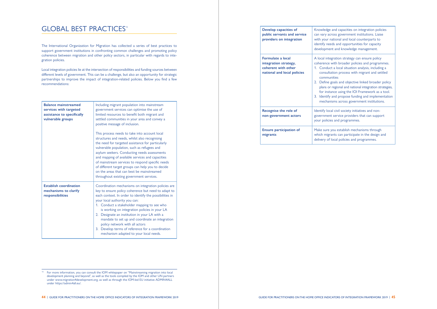# <span id="page-22-0"></span>**GLOBAL BEST PRACTICES<sup>12</sup>**

The International Organization for Migration has collected a series of best practices to support government institutions in confronting common challenges and promoting policy coherence between migration and other policy sectors, in particular with regards to integration policies.

Local integration policies lie at the intersection of responsibilities and funding sources between different levels of government. This can be a challenge, but also an opportunity for strategic partnerships to improve the impact of integration-related policies. Below you find a few recommendations:

<sup>12</sup> For more information, you can consult the IOM whitepaper on "Mainstreaming migration into local development planning and beyond", as well as the tools compiled by the IOM and other UN partners under www.migration4development.org, as well as through the IOM-led EU initiative ADMIN4ALL under https://admin4all.eu/.

| <b>Balance mainstreamed</b><br>services with targeted<br>assistance to specifically<br>vulnerable groups | Including migrant population into mainstream<br>government services can optimise the use of<br>limited resources to benefit both migrant and<br>settled communities in your area and convey a<br>positive message of inclusion.                                                                                                                                                                                                                                                                                                            |  |  |
|----------------------------------------------------------------------------------------------------------|--------------------------------------------------------------------------------------------------------------------------------------------------------------------------------------------------------------------------------------------------------------------------------------------------------------------------------------------------------------------------------------------------------------------------------------------------------------------------------------------------------------------------------------------|--|--|
|                                                                                                          | This process needs to take into account local<br>structures and needs, whilst also recognising<br>the need for targeted assistance for particularly<br>vulnerable population, such as refugees and<br>asylum seekers. Conducting needs assessments<br>and mapping of available services and capacities<br>of mainstream services to respond specific needs<br>of different target groups can help you to decide<br>on the areas that can best be mainstreamed<br>throughout existing government services.                                  |  |  |
| <b>Establish coordination</b><br>mechanisms to clarify<br>responsibilities                               | Coordination mechanisms on integration policies are<br>key to ensure policy coherence but need to adapt to<br>each context. In order to identify the possibilities in<br>your local authority you can:<br>1. Conduct a stakeholder mapping to see who<br>is working on integration policies in your LA<br>2. Designate an institution in your LA with a<br>mandate to set up and coordinate an integration<br>policy network with all actors<br>3. Develop terms of reference for a coordination<br>mechanism adapted to your local needs. |  |  |

| Develop capacities of<br>public servants and service<br>providers on integration                 | Knowledge<br>can vary ac<br>with your n<br>identify nee<br>developmer                                                                             |  |
|--------------------------------------------------------------------------------------------------|---------------------------------------------------------------------------------------------------------------------------------------------------|--|
| Formulate a local<br>integration strategy,<br>coherent with other<br>national and local policies | A local inte<br>coherence <sup>'</sup><br>1. Conduc<br>consulta<br>commu<br>2. Define<br>plans or<br>for insta<br><b>Identify</b><br>3.<br>mechan |  |
| Recognise the role of<br>non-government actors                                                   | Identify loc<br>government<br>your policie                                                                                                        |  |
| <b>Ensure participation of</b><br>migrants                                                       | Make sure y<br>which migra<br>delivery of                                                                                                         |  |
|                                                                                                  |                                                                                                                                                   |  |

and capacities on integration policies cross government institutions. Liaise national and local counterparts to eds and opportunities for capacity nt and knowledge management.

egration strategy can ensure policy with broader policies and programmes. It a local situation analysis, including a ation process with migrant and settled nities

goals and objective linked broader policy regional and national integration strategies, ance using the IOI Framework as a tool. and propose funding and implementation nisms across government institutions.

al civil society initiatives and nonat service providers that can support es and programmes.

you establish mechanisms through ants can participate in the design and local policies and programmes.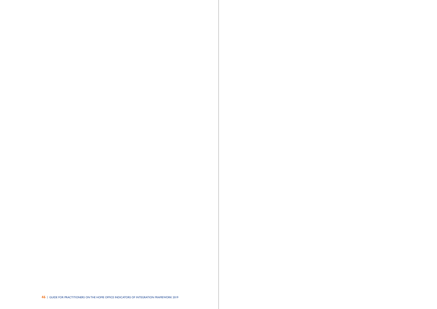| GUIDE FOR PRACTITIONERS ON THE HOME OFFICE INDICATORS OF INTEGRATION FRAMEWORK 2019